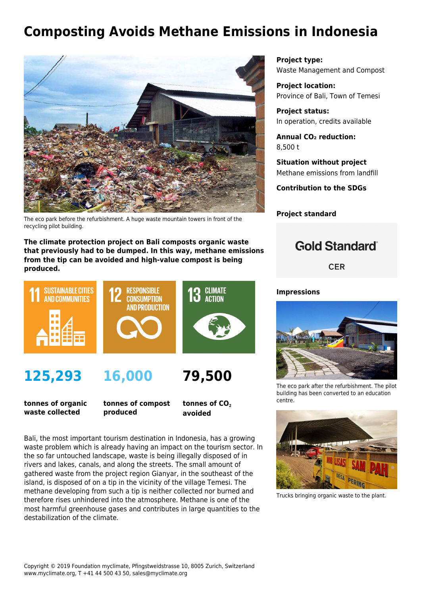## **Composting Avoids Methane Emissions in Indonesia**



The eco park before the refurbishment. A huge waste mountain towers in front of the recycling pilot building.

**The climate protection project on Bali composts organic waste that previously had to be dumped. In this way, methane emissions from the tip can be avoided and high-value compost is being produced.**



**tonnes of organic waste collected**

**tonnes of compost produced**

tonnes of CO<sub>2</sub> **avoided**

Bali, the most important tourism destination in Indonesia, has a growing waste problem which is already having an impact on the tourism sector. In the so far untouched landscape, waste is being illegally disposed of in rivers and lakes, canals, and along the streets. The small amount of gathered waste from the project region Gianyar, in the southeast of the island, is disposed of on a tip in the vicinity of the village Temesi. The methane developing from such a tip is neither collected nor burned and therefore rises unhindered into the atmosphere. Methane is one of the most harmful greenhouse gases and contributes in large quantities to the destabilization of the climate.

**Project type:** Waste Management and Compost

**Project location:** Province of Bali, Town of Temesi

**Project status:** In operation, credits available

**Annual CO₂ reduction:** 8,500 t

**Situation without project** Methane emissions from landfill

**Contribution to the SDGs**

**Project standard**

## **Gold Standard**®

**CER** 

## **Impressions**



The eco park after the refurbishment. The pilot building has been converted to an education centre.



Trucks bringing organic waste to the plant.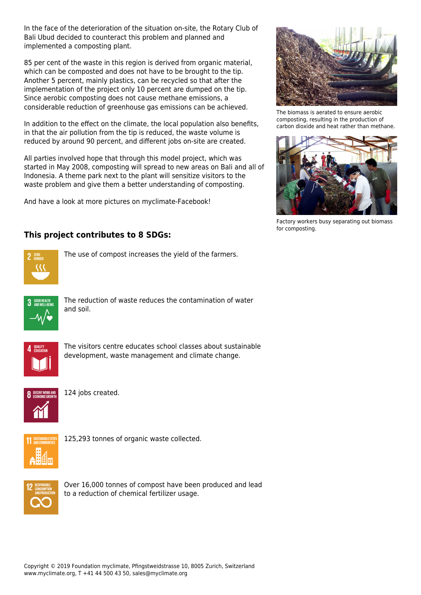In the face of the deterioration of the situation on-site, the Rotary Club of Bali Ubud decided to counteract this problem and planned and implemented a composting plant.

85 per cent of the waste in this region is derived from organic material, which can be composted and does not have to be brought to the tip. Another 5 percent, mainly plastics, can be recycled so that after the implementation of the project only 10 percent are dumped on the tip. Since aerobic composting does not cause methane emissions, a considerable reduction of greenhouse gas emissions can be achieved.

In addition to the effect on the climate, the local population also benefits, in that the air pollution from the tip is reduced, the waste volume is reduced by around 90 percent, and different jobs on-site are created.

All parties involved hope that through this model project, which was started in May 2008, composting will spread to new areas on Bali and all of Indonesia. A theme park next to the plant will sensitize visitors to the waste problem and give them a better understanding of composting.

And have a look at more pictures on [myclimate-Facebook!](https://www.facebook.com/media/set/?set=a.10151706249905374.853285.341277720373&type=3)



The biomass is aerated to ensure aerobic composting, resulting in the production of carbon dioxide and heat rather than methane.



Factory workers busy separating out biomass for composting.

## **This project contributes to 8 SDGs:**



The use of compost increases the yield of the farmers.



The reduction of waste reduces the contamination of water and soil.



The visitors centre educates school classes about sustainable development, waste management and climate change.



124 jobs created.



125,293 tonnes of organic waste collected.



Over 16,000 tonnes of compost have been produced and lead to a reduction of chemical fertilizer usage.